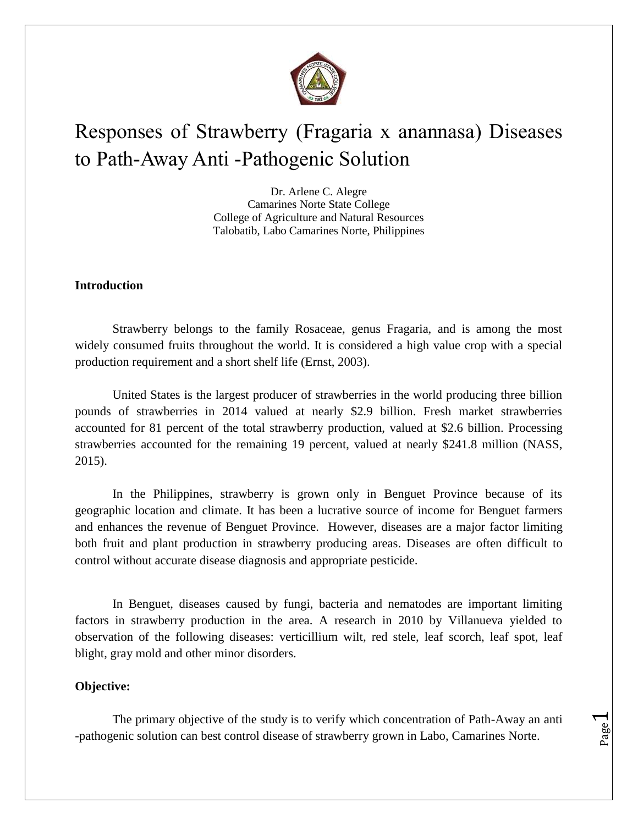

# Responses of Strawberry (Fragaria x anannasa) Diseases to Path-Away Anti -Pathogenic Solution

Dr. Arlene C. Alegre Camarines Norte State College College of Agriculture and Natural Resources Talobatib, Labo Camarines Norte, Philippines

### **Introduction**

Strawberry belongs to the family Rosaceae, genus Fragaria, and is among the most widely consumed fruits throughout the world. It is considered a high value crop with a special production requirement and a short shelf life (Ernst, 2003).

United States is the largest producer of strawberries in the world producing three billion pounds of strawberries in 2014 valued at nearly \$2.9 billion. Fresh market strawberries accounted for 81 percent of the total strawberry production, valued at \$2.6 billion. Processing strawberries accounted for the remaining 19 percent, valued at nearly \$241.8 million (NASS, 2015).

In the Philippines, strawberry is grown only in Benguet Province because of its geographic location and climate. It has been a lucrative source of income for Benguet farmers and enhances the revenue of Benguet Province. However, diseases are a major factor limiting both fruit and plant production in strawberry producing areas. Diseases are often difficult to control without accurate disease diagnosis and appropriate pesticide.

In Benguet, diseases caused by fungi, bacteria and nematodes are important limiting factors in strawberry production in the area. A research in 2010 by Villanueva yielded to observation of the following diseases: verticillium wilt, red stele, leaf scorch, leaf spot, leaf blight, gray mold and other minor disorders.

### **Objective:**

The primary objective of the study is to verify which concentration of Path-Away an anti -pathogenic solution can best control disease of strawberry grown in Labo, Camarines Norte.

Page  $\overline{\phantom{0}}$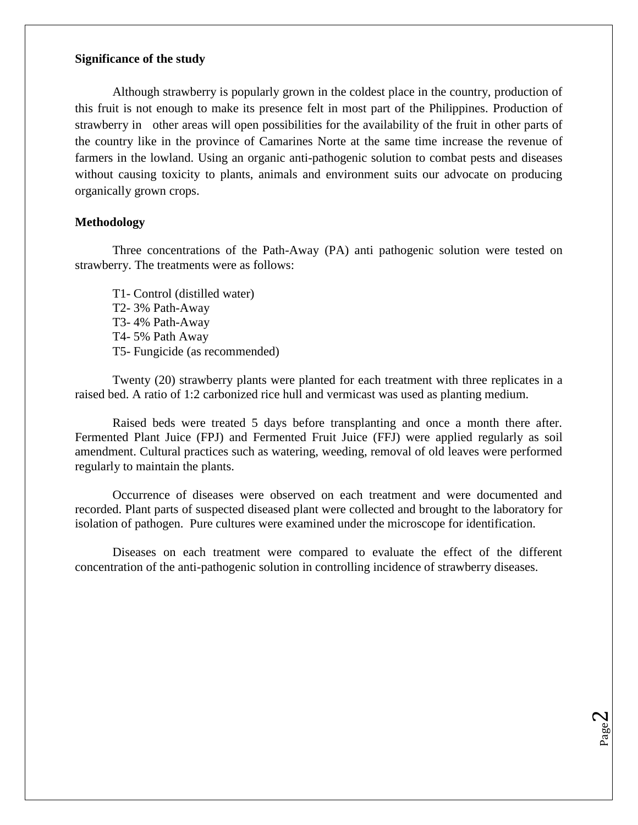### **Significance of the study**

Although strawberry is popularly grown in the coldest place in the country, production of this fruit is not enough to make its presence felt in most part of the Philippines. Production of strawberry in other areas will open possibilities for the availability of the fruit in other parts of the country like in the province of Camarines Norte at the same time increase the revenue of farmers in the lowland. Using an organic anti-pathogenic solution to combat pests and diseases without causing toxicity to plants, animals and environment suits our advocate on producing organically grown crops.

### **Methodology**

Three concentrations of the Path-Away (PA) anti pathogenic solution were tested on strawberry. The treatments were as follows:

T1- Control (distilled water) T2- 3% Path-Away T3- 4% Path-Away T4- 5% Path Away T5- Fungicide (as recommended)

Twenty (20) strawberry plants were planted for each treatment with three replicates in a raised bed. A ratio of 1:2 carbonized rice hull and vermicast was used as planting medium.

Raised beds were treated 5 days before transplanting and once a month there after. Fermented Plant Juice (FPJ) and Fermented Fruit Juice (FFJ) were applied regularly as soil amendment. Cultural practices such as watering, weeding, removal of old leaves were performed regularly to maintain the plants.

Occurrence of diseases were observed on each treatment and were documented and recorded. Plant parts of suspected diseased plant were collected and brought to the laboratory for isolation of pathogen. Pure cultures were examined under the microscope for identification.

Diseases on each treatment were compared to evaluate the effect of the different concentration of the anti-pathogenic solution in controlling incidence of strawberry diseases.

> Page  $\boldsymbol{\sim}$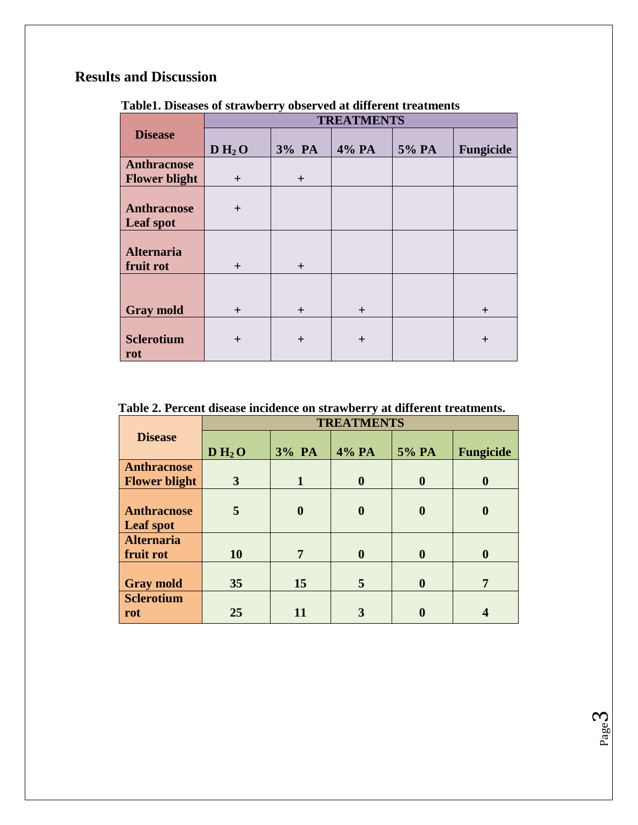# **Results and Discussion**

|                      | <b>TREATMENTS</b> |        |        |       |           |  |
|----------------------|-------------------|--------|--------|-------|-----------|--|
| <b>Disease</b>       |                   |        |        |       |           |  |
|                      | $D H_2 O$         | 3% PA  | 4% PA  | 5% PA | Fungicide |  |
| Anthracnose          |                   |        |        |       |           |  |
| <b>Flower blight</b> | $+$               | $+$    |        |       |           |  |
|                      |                   |        |        |       |           |  |
| Anthracnose          | $+$               |        |        |       |           |  |
| <b>Leaf spot</b>     |                   |        |        |       |           |  |
|                      |                   |        |        |       |           |  |
| <b>Alternaria</b>    |                   |        |        |       |           |  |
| fruit rot            | $+$               | $+$    |        |       |           |  |
|                      |                   |        |        |       |           |  |
|                      |                   |        |        |       |           |  |
| <b>Gray mold</b>     | $+$               | $^{+}$ | $+$    |       | $+$       |  |
|                      |                   |        |        |       |           |  |
| <b>Sclerotium</b>    | $\pm$             | $\pm$  | $^{+}$ |       | $+$       |  |
| rot                  |                   |        |        |       |           |  |

 **Table1. Diseases of strawberry observed at different treatments**

 **Table 2. Percent disease incidence on strawberry at different treatments.**

|                      | <b>TREATMENTS</b> |                  |                  |                  |                  |  |
|----------------------|-------------------|------------------|------------------|------------------|------------------|--|
| <b>Disease</b>       |                   |                  |                  |                  |                  |  |
|                      | $D H_2 O$         | 3% PA            | 4% PA            | 5% PA            | <b>Fungicide</b> |  |
| <b>Anthracnose</b>   |                   |                  |                  |                  |                  |  |
| <b>Flower blight</b> | $\mathbf{3}$      | 1                | $\boldsymbol{0}$ | $\boldsymbol{0}$ | $\boldsymbol{0}$ |  |
|                      |                   |                  |                  |                  |                  |  |
| <b>Anthracnose</b>   | 5                 | $\boldsymbol{0}$ | $\boldsymbol{0}$ | $\boldsymbol{0}$ | $\boldsymbol{0}$ |  |
| Leaf spot            |                   |                  |                  |                  |                  |  |
| <b>Alternaria</b>    |                   |                  |                  |                  |                  |  |
| fruit rot            | <b>10</b>         | 7                | $\boldsymbol{0}$ | $\boldsymbol{0}$ | $\boldsymbol{0}$ |  |
|                      |                   |                  |                  |                  |                  |  |
| <b>Gray mold</b>     | 35                | 15               | 5                | $\boldsymbol{0}$ | 7                |  |
| <b>Sclerotium</b>    |                   |                  |                  |                  |                  |  |
| rot                  | 25                | 11               |                  |                  |                  |  |

Page ო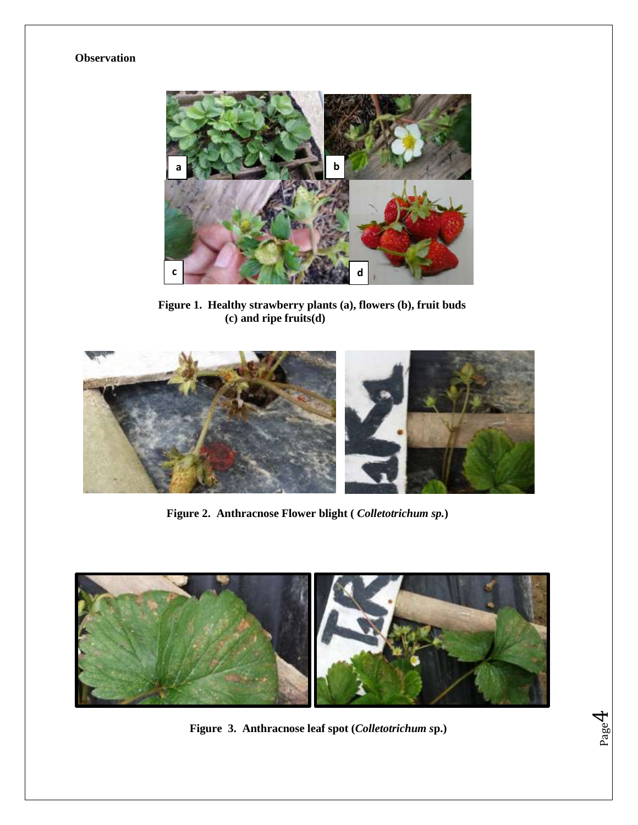### **Observation**



 **Figure 1. Healthy strawberry plants (a), flowers (b), fruit buds (c) and ripe fruits(d)**



 **Figure 2. Anthracnose Flower blight (** *Colletotrichum sp.***)**



 **Figure 3. Anthracnose leaf spot (***Colletotrichum s***p.)** 

Page  $\overline{\mathcal{A}}$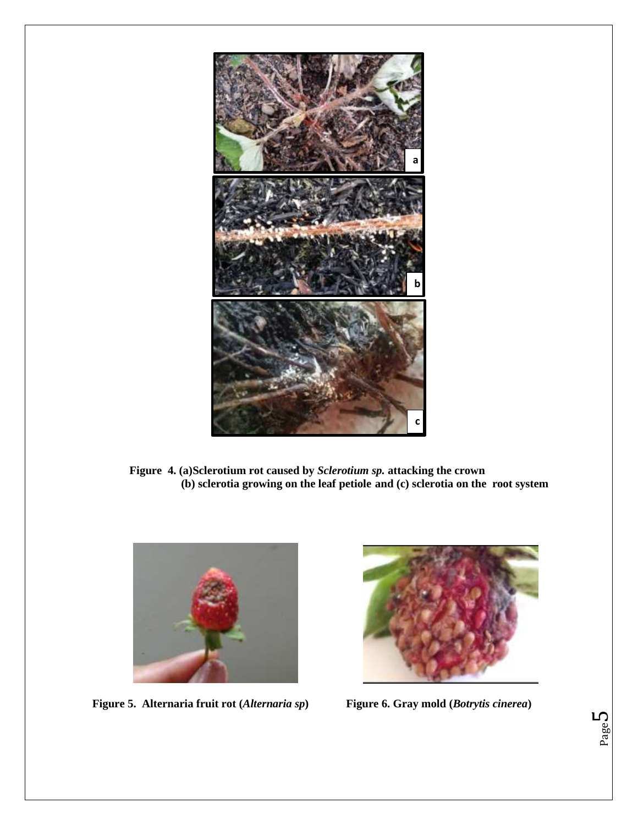

 **Figure 4. (a)Sclerotium rot caused by** *Sclerotium sp.* **attacking the crown (b) sclerotia growing on the leaf petiole and (c) sclerotia on the root system**



 **Figure 5. Alternaria fruit rot (***Alternaria sp***) Figure 6. Gray mold (***Botrytis cinerea***)**

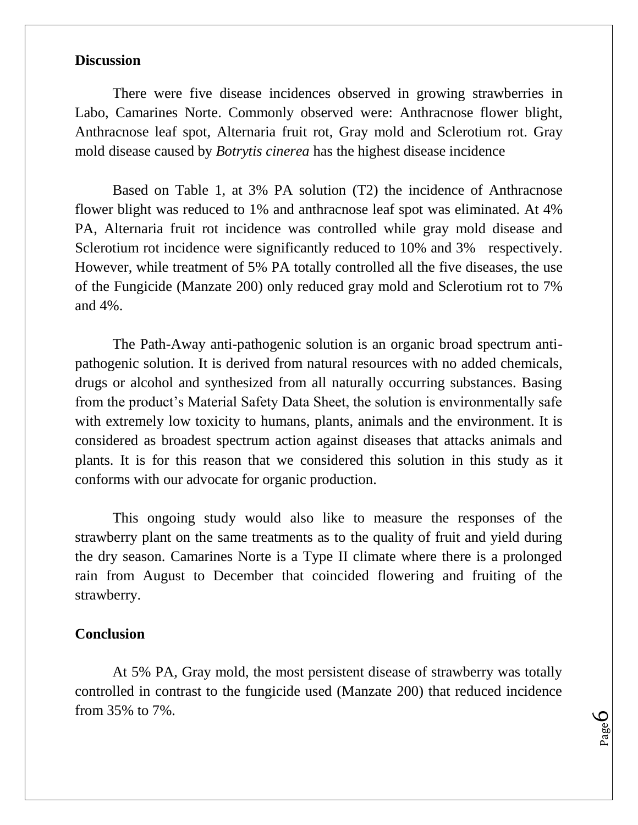## **Discussion**

There were five disease incidences observed in growing strawberries in Labo, Camarines Norte. Commonly observed were: Anthracnose flower blight, Anthracnose leaf spot, Alternaria fruit rot, Gray mold and Sclerotium rot. Gray mold disease caused by *Botrytis cinerea* has the highest disease incidence

Based on Table 1, at 3% PA solution (T2) the incidence of Anthracnose flower blight was reduced to 1% and anthracnose leaf spot was eliminated. At 4% PA, Alternaria fruit rot incidence was controlled while gray mold disease and Sclerotium rot incidence were significantly reduced to 10% and 3% respectively. However, while treatment of 5% PA totally controlled all the five diseases, the use of the Fungicide (Manzate 200) only reduced gray mold and Sclerotium rot to 7% and 4%.

The Path-Away anti-pathogenic solution is an organic broad spectrum antipathogenic solution. It is derived from natural resources with no added chemicals, drugs or alcohol and synthesized from all naturally occurring substances. Basing from the product's Material Safety Data Sheet, the solution is environmentally safe with extremely low toxicity to humans, plants, animals and the environment. It is considered as broadest spectrum action against diseases that attacks animals and plants. It is for this reason that we considered this solution in this study as it conforms with our advocate for organic production.

This ongoing study would also like to measure the responses of the strawberry plant on the same treatments as to the quality of fruit and yield during the dry season. Camarines Norte is a Type II climate where there is a prolonged rain from August to December that coincided flowering and fruiting of the strawberry.

### **Conclusion**

At 5% PA, Gray mold, the most persistent disease of strawberry was totally controlled in contrast to the fungicide used (Manzate 200) that reduced incidence from 35% to 7%.

Page 6